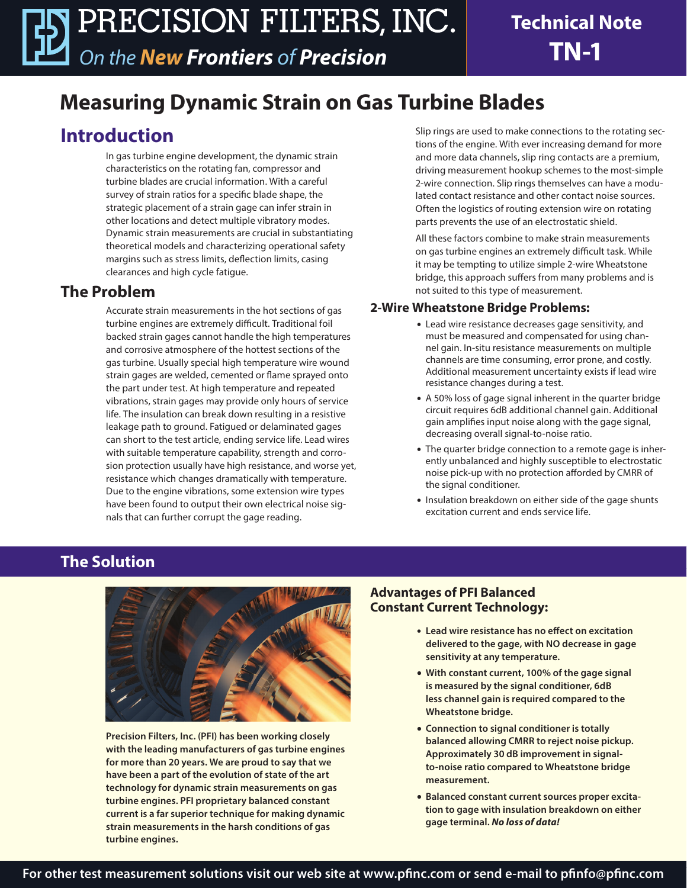# **Measuring Dynamic Strain on Gas Turbine Blades**

# **Introduction**

In gas turbine engine development, the dynamic strain characteristics on the rotating fan, compressor and turbine blades are crucial information. With a careful survey of strain ratios for a specific blade shape, the strategic placement of a strain gage can infer strain in other locations and detect multiple vibratory modes. Dynamic strain measurements are crucial in substantiating theoretical models and characterizing operational safety margins such as stress limits, deflection limits, casing clearances and high cycle fatigue.

### **The Problem**

Accurate strain measurements in the hot sections of gas turbine engines are extremely difficult. Traditional foil backed strain gages cannot handle the high temperatures and corrosive atmosphere of the hottest sections of the gas turbine. Usually special high temperature wire wound strain gages are welded, cemented or flame sprayed onto the part under test. At high temperature and repeated vibrations, strain gages may provide only hours of service life. The insulation can break down resulting in a resistive leakage path to ground. Fatigued or delaminated gages can short to the test article, ending service life. Lead wires with suitable temperature capability, strength and corrosion protection usually have high resistance, and worse yet, resistance which changes dramatically with temperature. Due to the engine vibrations, some extension wire types have been found to output their own electrical noise signals that can further corrupt the gage reading.

Slip rings are used to make connections to the rotating sections of the engine. With ever increasing demand for more and more data channels, slip ring contacts are a premium, driving measurement hookup schemes to the most-simple 2-wire connection. Slip rings themselves can have a modulated contact resistance and other contact noise sources. Often the logistics of routing extension wire on rotating parts prevents the use of an electrostatic shield.

All these factors combine to make strain measurements on gas turbine engines an extremely difficult task. While it may be tempting to utilize simple 2-wire Wheatstone bridge, this approach suffers from many problems and is not suited to this type of measurement.

### **2-Wire Wheatstone Bridge Problems:**

- Lead wire resistance decreases gage sensitivity, and must be measured and compensated for using channel gain. In-situ resistance measurements on multiple channels are time consuming, error prone, and costly. Additional measurement uncertainty exists if lead wire resistance changes during a test.
- A 50% loss of gage signal inherent in the quarter bridge circuit requires 6dB additional channel gain. Additional gain amplifies input noise along with the gage signal, decreasing overall signal-to-noise ratio.
- The quarter bridge connection to a remote gage is inherently unbalanced and highly susceptible to electrostatic noise pick-up with no protection afforded by CMRR of the signal conditioner.
- Insulation breakdown on either side of the gage shunts excitation current and ends service life.

### **The Solution**



**Precision Filters, Inc. (PFI) has been working closely with the leading manufacturers of gas turbine engines for more than 20 years. We are proud to say that we have been a part of the evolution of state of the art technology for dynamic strain measurements on gas turbine engines. PFI proprietary balanced constant current is a far superior technique for making dynamic strain measurements in the harsh conditions of gas turbine engines.**

### **Advantages of PFI Balanced Constant Current Technology:**

- **Lead wire resistance has no effect on excitation delivered to the gage, with NO decrease in gage sensitivity at any temperature.**
- **• With constant current, 100% of the gage signal is measured by the signal conditioner, 6dB less channel gain is required compared to the Wheatstone bridge.**
- **• Connection to signal conditioner is totally balanced allowing CMRR to reject noise pickup. Approximately 30 dB improvement in signalto-noise ratio compared to Wheatstone bridge measurement.**
- **• Balanced constant current sources proper excitation to gage with insulation breakdown on either gage terminal.** *No loss of data!*